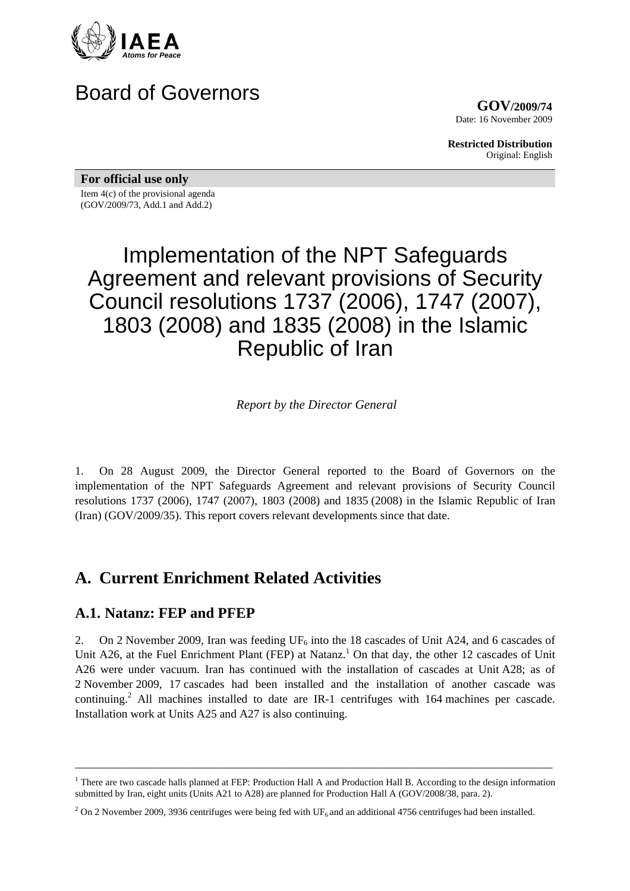

# Board of Governors

**GOV/2009/74** Date: 16 November 2009

**Restricted Distribution** Original: English

**For official use only** 

Item 4(c) of the provisional agenda (GOV/2009/73, Add.1 and Add.2)

# Implementation of the NPT Safeguards Agreement and relevant provisions of Security Council resolutions 1737 (2006), 1747 (2007), 1803 (2008) and 1835 (2008) in the Islamic Republic of Iran

*Report by the Director General* 

1. On 28 August 2009, the Director General reported to the Board of Governors on the implementation of the NPT Safeguards Agreement and relevant provisions of Security Council resolutions 1737 (2006), 1747 (2007), 1803 (2008) and 1835 (2008) in the Islamic Republic of Iran (Iran) (GOV/2009/35). This report covers relevant developments since that date.

## **A. Current Enrichment Related Activities**

#### **A.1. Natanz: FEP and PFEP**

2. On 2 November 2009, Iran was feeding  $UF_6$  into the 18 cascades of Unit A24, and 6 cascades of Unit A26, at the Fuel Enrichment Plant (FEP) at Natanz.<sup>1</sup> On that day, the other 12 cascades of Unit A26 were under vacuum. Iran has continued with the installation of cascades at Unit A28; as of 2 November 2009, 17 cascades had been installed and the installation of another cascade was continuing.<sup>2</sup> All machines installed to date are IR-1 centrifuges with 164 machines per cascade. Installation work at Units A25 and A27 is also continuing.

\_\_\_\_\_\_\_\_\_\_\_\_\_\_\_\_\_\_\_\_\_\_\_\_\_\_\_\_\_\_\_\_\_\_\_\_\_\_\_\_\_\_\_\_\_\_\_\_\_\_\_\_\_\_\_\_\_\_\_\_\_\_\_\_\_\_\_\_\_\_\_\_\_\_\_\_\_\_\_\_\_\_

<sup>&</sup>lt;sup>1</sup> There are two cascade halls planned at FEP: Production Hall A and Production Hall B. According to the design information submitted by Iran, eight units (Units A21 to A28) are planned for Production Hall A (GOV/2008/38, para. 2).

<sup>&</sup>lt;sup>2</sup> On 2 November 2009, 3936 centrifuges were being fed with UF<sub>6</sub> and an additional 4756 centrifuges had been installed.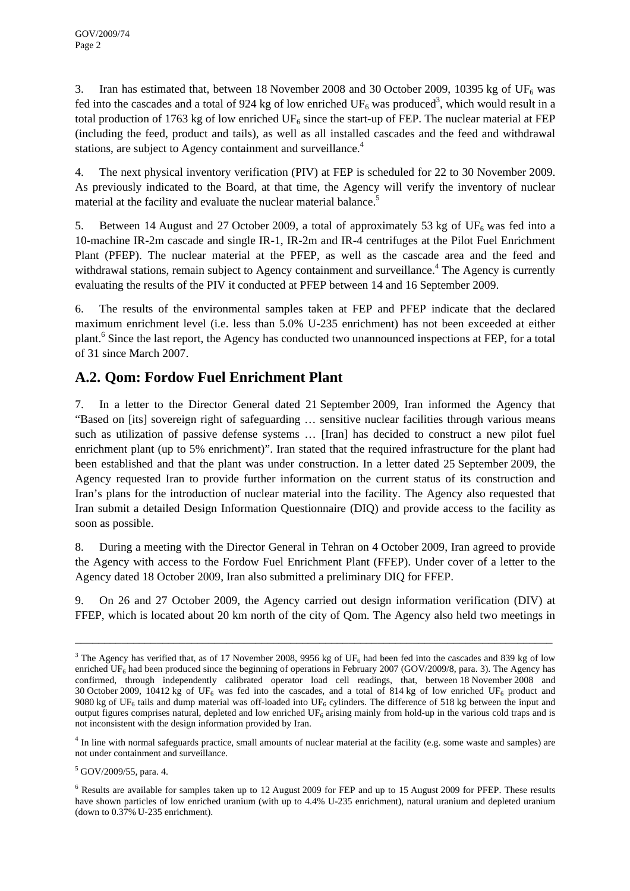3. Iran has estimated that, between 18 November 2008 and 30 October 2009, 10395 kg of UF<sub>6</sub> was fed into the cascades and a total of 924 kg of low enriched  $UF_6$  was produced<sup>3</sup>, which would result in a total production of 1763 kg of low enriched  $UF_6$  since the start-up of FEP. The nuclear material at FEP (including the feed, product and tails), as well as all installed cascades and the feed and withdrawal stations, are subject to Agency containment and surveillance.<sup>4</sup>

4. The next physical inventory verification (PIV) at FEP is scheduled for 22 to 30 November 2009. As previously indicated to the Board, at that time, the Agency will verify the inventory of nuclear material at the facility and evaluate the nuclear material balance.<sup>5</sup>

5. Between 14 August and 27 October 2009, a total of approximately 53 kg of  $UF_6$  was fed into a 10-machine IR-2m cascade and single IR-1, IR-2m and IR-4 centrifuges at the Pilot Fuel Enrichment Plant (PFEP). The nuclear material at the PFEP, as well as the cascade area and the feed and withdrawal stations, remain subject to Agency containment and surveillance.<sup>4</sup> The Agency is currently evaluating the results of the PIV it conducted at PFEP between 14 and 16 September 2009.

6. The results of the environmental samples taken at FEP and PFEP indicate that the declared maximum enrichment level (i.e. less than 5.0% U-235 enrichment) has not been exceeded at either plant.<sup>6</sup> Since the last report, the Agency has conducted two unannounced inspections at FEP, for a total of 31 since March 2007.

### **A.2. Qom: Fordow Fuel Enrichment Plant**

7. In a letter to the Director General dated 21 September 2009, Iran informed the Agency that "Based on [its] sovereign right of safeguarding … sensitive nuclear facilities through various means such as utilization of passive defense systems … [Iran] has decided to construct a new pilot fuel enrichment plant (up to 5% enrichment)". Iran stated that the required infrastructure for the plant had been established and that the plant was under construction. In a letter dated 25 September 2009, the Agency requested Iran to provide further information on the current status of its construction and Iran's plans for the introduction of nuclear material into the facility. The Agency also requested that Iran submit a detailed Design Information Questionnaire (DIQ) and provide access to the facility as soon as possible.

8. During a meeting with the Director General in Tehran on 4 October 2009, Iran agreed to provide the Agency with access to the Fordow Fuel Enrichment Plant (FFEP). Under cover of a letter to the Agency dated 18 October 2009, Iran also submitted a preliminary DIQ for FFEP.

9. On 26 and 27 October 2009, the Agency carried out design information verification (DIV) at FFEP, which is located about 20 km north of the city of Qom. The Agency also held two meetings in

\_\_\_\_\_\_\_\_\_\_\_\_\_\_\_\_\_\_\_\_\_\_\_\_\_\_\_\_\_\_\_\_\_\_\_\_\_\_\_\_\_\_\_\_\_\_\_\_\_\_\_\_\_\_\_\_\_\_\_\_\_\_\_\_\_\_\_\_\_\_\_\_\_\_\_\_\_\_\_\_\_\_

5 GOV/2009/55, para. 4.

<sup>&</sup>lt;sup>3</sup> The Agency has verified that, as of 17 November 2008, 9956 kg of UF<sub>6</sub> had been fed into the cascades and 839 kg of low enriched UF<sub>6</sub> had been produced since the beginning of operations in February 2007 (GOV/2009/8, para. 3). The Agency has confirmed, through independently calibrated operator load cell readings, that, between 18 November 2008 and 30 October 2009, 10412 kg of UF<sub>6</sub> was fed into the cascades, and a total of 814 kg of low enriched UF<sub>6</sub> product and 9080 kg of UF<sub>6</sub> tails and dump material was off-loaded into UF<sub>6</sub> cylinders. The difference of 518 kg between the input and output figures comprises natural, depleted and low enriched  $UF<sub>6</sub>$  arising mainly from hold-up in the various cold traps and is not inconsistent with the design information provided by Iran.

<sup>&</sup>lt;sup>4</sup> In line with normal safeguards practice, small amounts of nuclear material at the facility (e.g. some waste and samples) are not under containment and surveillance.

<sup>&</sup>lt;sup>6</sup> Results are available for samples taken up to 12 August 2009 for FEP and up to 15 August 2009 for PFEP. These results have shown particles of low enriched uranium (with up to 4.4% U-235 enrichment), natural uranium and depleted uranium (down to 0.37% U-235 enrichment).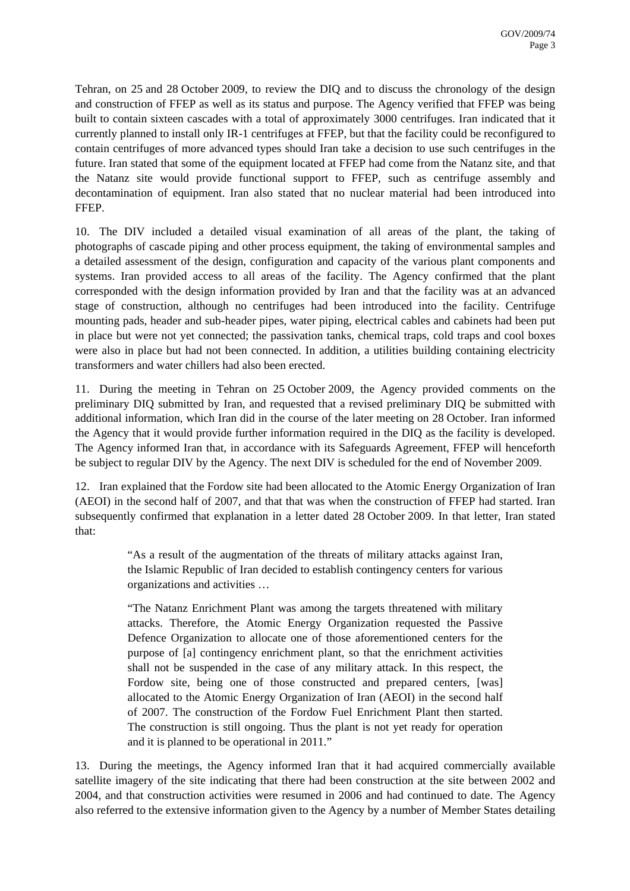Tehran, on 25 and 28 October 2009, to review the DIQ and to discuss the chronology of the design and construction of FFEP as well as its status and purpose. The Agency verified that FFEP was being built to contain sixteen cascades with a total of approximately 3000 centrifuges. Iran indicated that it currently planned to install only IR-1 centrifuges at FFEP, but that the facility could be reconfigured to contain centrifuges of more advanced types should Iran take a decision to use such centrifuges in the future. Iran stated that some of the equipment located at FFEP had come from the Natanz site, and that the Natanz site would provide functional support to FFEP, such as centrifuge assembly and decontamination of equipment. Iran also stated that no nuclear material had been introduced into FFEP.

10. The DIV included a detailed visual examination of all areas of the plant, the taking of photographs of cascade piping and other process equipment, the taking of environmental samples and a detailed assessment of the design, configuration and capacity of the various plant components and systems. Iran provided access to all areas of the facility. The Agency confirmed that the plant corresponded with the design information provided by Iran and that the facility was at an advanced stage of construction, although no centrifuges had been introduced into the facility. Centrifuge mounting pads, header and sub-header pipes, water piping, electrical cables and cabinets had been put in place but were not yet connected; the passivation tanks, chemical traps, cold traps and cool boxes were also in place but had not been connected. In addition, a utilities building containing electricity transformers and water chillers had also been erected.

11. During the meeting in Tehran on 25 October 2009, the Agency provided comments on the preliminary DIQ submitted by Iran, and requested that a revised preliminary DIQ be submitted with additional information, which Iran did in the course of the later meeting on 28 October. Iran informed the Agency that it would provide further information required in the DIQ as the facility is developed. The Agency informed Iran that, in accordance with its Safeguards Agreement, FFEP will henceforth be subject to regular DIV by the Agency. The next DIV is scheduled for the end of November 2009.

12. Iran explained that the Fordow site had been allocated to the Atomic Energy Organization of Iran (AEOI) in the second half of 2007, and that that was when the construction of FFEP had started. Iran subsequently confirmed that explanation in a letter dated 28 October 2009. In that letter, Iran stated that:

> "As a result of the augmentation of the threats of military attacks against Iran, the Islamic Republic of Iran decided to establish contingency centers for various organizations and activities …

> "The Natanz Enrichment Plant was among the targets threatened with military attacks. Therefore, the Atomic Energy Organization requested the Passive Defence Organization to allocate one of those aforementioned centers for the purpose of [a] contingency enrichment plant, so that the enrichment activities shall not be suspended in the case of any military attack. In this respect, the Fordow site, being one of those constructed and prepared centers, [was] allocated to the Atomic Energy Organization of Iran (AEOI) in the second half of 2007. The construction of the Fordow Fuel Enrichment Plant then started. The construction is still ongoing. Thus the plant is not yet ready for operation and it is planned to be operational in 2011."

13. During the meetings, the Agency informed Iran that it had acquired commercially available satellite imagery of the site indicating that there had been construction at the site between 2002 and 2004, and that construction activities were resumed in 2006 and had continued to date. The Agency also referred to the extensive information given to the Agency by a number of Member States detailing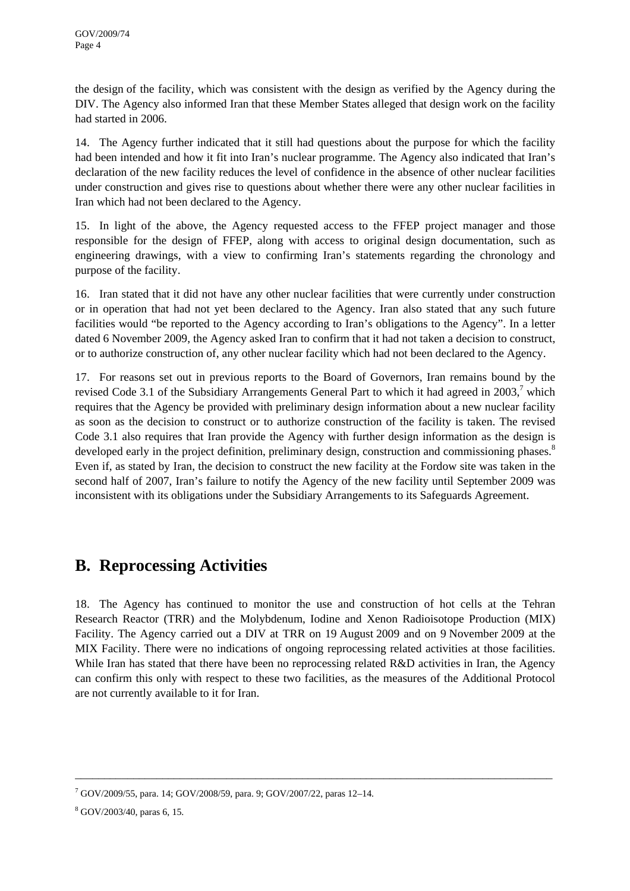the design of the facility, which was consistent with the design as verified by the Agency during the DIV. The Agency also informed Iran that these Member States alleged that design work on the facility had started in 2006.

14. The Agency further indicated that it still had questions about the purpose for which the facility had been intended and how it fit into Iran's nuclear programme. The Agency also indicated that Iran's declaration of the new facility reduces the level of confidence in the absence of other nuclear facilities under construction and gives rise to questions about whether there were any other nuclear facilities in Iran which had not been declared to the Agency.

15. In light of the above, the Agency requested access to the FFEP project manager and those responsible for the design of FFEP, along with access to original design documentation, such as engineering drawings, with a view to confirming Iran's statements regarding the chronology and purpose of the facility.

16. Iran stated that it did not have any other nuclear facilities that were currently under construction or in operation that had not yet been declared to the Agency. Iran also stated that any such future facilities would "be reported to the Agency according to Iran's obligations to the Agency". In a letter dated 6 November 2009, the Agency asked Iran to confirm that it had not taken a decision to construct, or to authorize construction of, any other nuclear facility which had not been declared to the Agency.

17. For reasons set out in previous reports to the Board of Governors, Iran remains bound by the revised Code 3.1 of the Subsidiary Arrangements General Part to which it had agreed in  $2003$ ,<sup>7</sup> which requires that the Agency be provided with preliminary design information about a new nuclear facility as soon as the decision to construct or to authorize construction of the facility is taken. The revised Code 3.1 also requires that Iran provide the Agency with further design information as the design is developed early in the project definition, preliminary design, construction and commissioning phases.<sup>8</sup> Even if, as stated by Iran, the decision to construct the new facility at the Fordow site was taken in the second half of 2007, Iran's failure to notify the Agency of the new facility until September 2009 was inconsistent with its obligations under the Subsidiary Arrangements to its Safeguards Agreement.

## **B. Reprocessing Activities**

18. The Agency has continued to monitor the use and construction of hot cells at the Tehran Research Reactor (TRR) and the Molybdenum, Iodine and Xenon Radioisotope Production (MIX) Facility. The Agency carried out a DIV at TRR on 19 August 2009 and on 9 November 2009 at the MIX Facility. There were no indications of ongoing reprocessing related activities at those facilities. While Iran has stated that there have been no reprocessing related R&D activities in Iran, the Agency can confirm this only with respect to these two facilities, as the measures of the Additional Protocol are not currently available to it for Iran.

\_\_\_\_\_\_\_\_\_\_\_\_\_\_\_\_\_\_\_\_\_\_\_\_\_\_\_\_\_\_\_\_\_\_\_\_\_\_\_\_\_\_\_\_\_\_\_\_\_\_\_\_\_\_\_\_\_\_\_\_\_\_\_\_\_\_\_\_\_\_\_\_\_\_\_\_\_\_\_\_\_\_

<sup>7</sup> GOV/2009/55, para. 14; GOV/2008/59, para. 9; GOV/2007/22, paras 12–14.

<sup>8</sup> GOV/2003/40, paras 6, 15.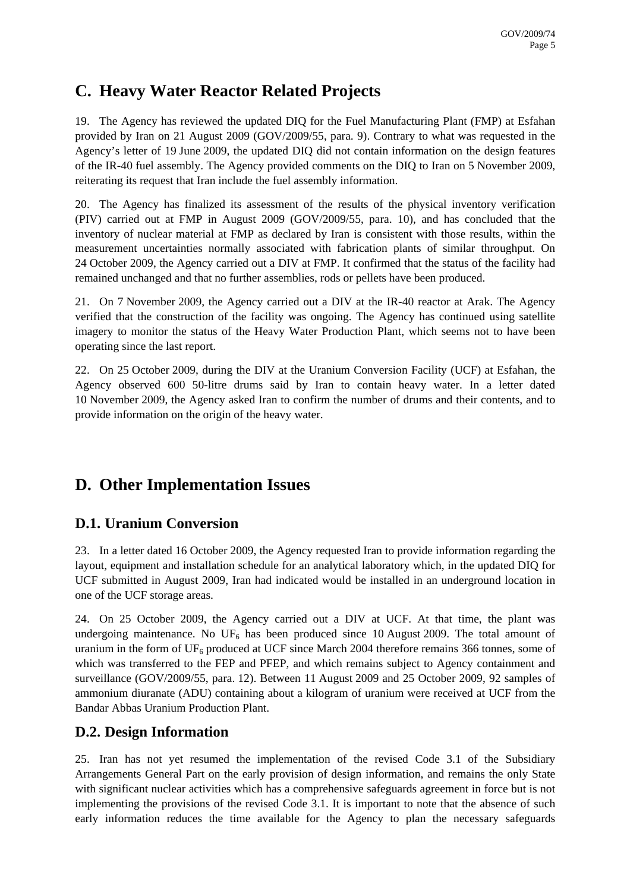# **C. Heavy Water Reactor Related Projects**

19. The Agency has reviewed the updated DIQ for the Fuel Manufacturing Plant (FMP) at Esfahan provided by Iran on 21 August 2009 (GOV/2009/55, para. 9). Contrary to what was requested in the Agency's letter of 19 June 2009, the updated DIQ did not contain information on the design features of the IR-40 fuel assembly. The Agency provided comments on the DIQ to Iran on 5 November 2009, reiterating its request that Iran include the fuel assembly information.

20. The Agency has finalized its assessment of the results of the physical inventory verification (PIV) carried out at FMP in August 2009 (GOV/2009/55, para. 10), and has concluded that the inventory of nuclear material at FMP as declared by Iran is consistent with those results, within the measurement uncertainties normally associated with fabrication plants of similar throughput. On 24 October 2009, the Agency carried out a DIV at FMP. It confirmed that the status of the facility had remained unchanged and that no further assemblies, rods or pellets have been produced.

21. On 7 November 2009, the Agency carried out a DIV at the IR-40 reactor at Arak. The Agency verified that the construction of the facility was ongoing. The Agency has continued using satellite imagery to monitor the status of the Heavy Water Production Plant, which seems not to have been operating since the last report.

22. On 25 October 2009, during the DIV at the Uranium Conversion Facility (UCF) at Esfahan, the Agency observed 600 50-litre drums said by Iran to contain heavy water. In a letter dated 10 November 2009, the Agency asked Iran to confirm the number of drums and their contents, and to provide information on the origin of the heavy water.

# **D. Other Implementation Issues**

#### **D.1. Uranium Conversion**

23. In a letter dated 16 October 2009, the Agency requested Iran to provide information regarding the layout, equipment and installation schedule for an analytical laboratory which, in the updated DIQ for UCF submitted in August 2009, Iran had indicated would be installed in an underground location in one of the UCF storage areas.

24. On 25 October 2009, the Agency carried out a DIV at UCF. At that time, the plant was undergoing maintenance. No  $UF_6$  has been produced since 10 August 2009. The total amount of uranium in the form of  $UF_6$  produced at UCF since March 2004 therefore remains 366 tonnes, some of which was transferred to the FEP and PFEP, and which remains subject to Agency containment and surveillance (GOV/2009/55, para. 12). Between 11 August 2009 and 25 October 2009, 92 samples of ammonium diuranate (ADU) containing about a kilogram of uranium were received at UCF from the Bandar Abbas Uranium Production Plant.

### **D.2. Design Information**

25. Iran has not yet resumed the implementation of the revised Code 3.1 of the Subsidiary Arrangements General Part on the early provision of design information, and remains the only State with significant nuclear activities which has a comprehensive safeguards agreement in force but is not implementing the provisions of the revised Code 3.1. It is important to note that the absence of such early information reduces the time available for the Agency to plan the necessary safeguards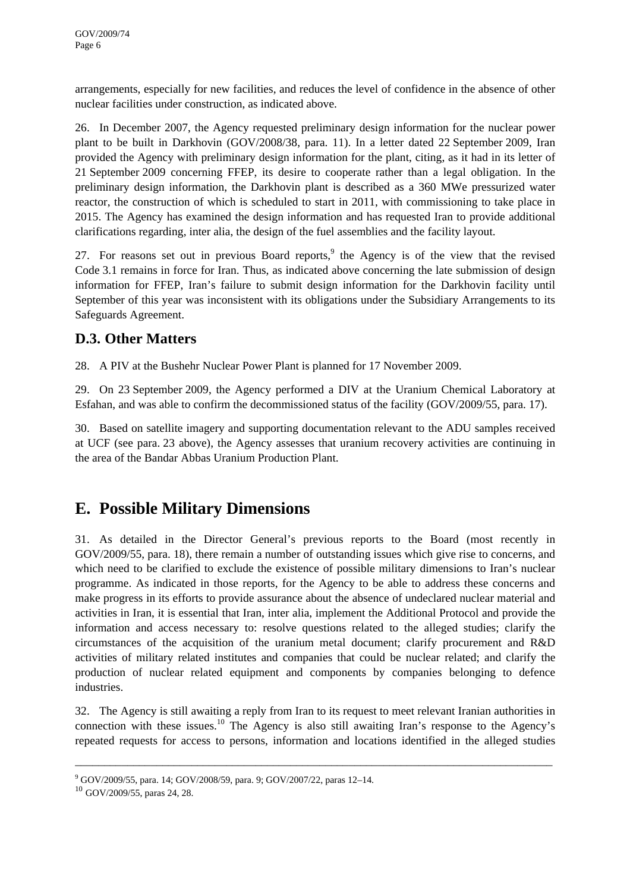arrangements, especially for new facilities, and reduces the level of confidence in the absence of other nuclear facilities under construction, as indicated above.

26. In December 2007, the Agency requested preliminary design information for the nuclear power plant to be built in Darkhovin (GOV/2008/38, para. 11). In a letter dated 22 September 2009, Iran provided the Agency with preliminary design information for the plant, citing, as it had in its letter of 21 September 2009 concerning FFEP, its desire to cooperate rather than a legal obligation. In the preliminary design information, the Darkhovin plant is described as a 360 MWe pressurized water reactor, the construction of which is scheduled to start in 2011, with commissioning to take place in 2015. The Agency has examined the design information and has requested Iran to provide additional clarifications regarding, inter alia, the design of the fuel assemblies and the facility layout.

27. For reasons set out in previous Board reports,<sup>9</sup> the Agency is of the view that the revised Code 3.1 remains in force for Iran. Thus, as indicated above concerning the late submission of design information for FFEP, Iran's failure to submit design information for the Darkhovin facility until September of this year was inconsistent with its obligations under the Subsidiary Arrangements to its Safeguards Agreement.

### **D.3. Other Matters**

28. A PIV at the Bushehr Nuclear Power Plant is planned for 17 November 2009.

29. On 23 September 2009, the Agency performed a DIV at the Uranium Chemical Laboratory at Esfahan, and was able to confirm the decommissioned status of the facility (GOV/2009/55, para. 17).

30. Based on satellite imagery and supporting documentation relevant to the ADU samples received at UCF (see para. 23 above), the Agency assesses that uranium recovery activities are continuing in the area of the Bandar Abbas Uranium Production Plant.

## **E. Possible Military Dimensions**

31. As detailed in the Director General's previous reports to the Board (most recently in GOV/2009/55, para. 18), there remain a number of outstanding issues which give rise to concerns, and which need to be clarified to exclude the existence of possible military dimensions to Iran's nuclear programme. As indicated in those reports, for the Agency to be able to address these concerns and make progress in its efforts to provide assurance about the absence of undeclared nuclear material and activities in Iran, it is essential that Iran, inter alia, implement the Additional Protocol and provide the information and access necessary to: resolve questions related to the alleged studies; clarify the circumstances of the acquisition of the uranium metal document; clarify procurement and R&D activities of military related institutes and companies that could be nuclear related; and clarify the production of nuclear related equipment and components by companies belonging to defence industries.

32. The Agency is still awaiting a reply from Iran to its request to meet relevant Iranian authorities in connection with these issues.<sup>10</sup> The Agency is also still awaiting Iran's response to the Agency's repeated requests for access to persons, information and locations identified in the alleged studies

\_\_\_\_\_\_\_\_\_\_\_\_\_\_\_\_\_\_\_\_\_\_\_\_\_\_\_\_\_\_\_\_\_\_\_\_\_\_\_\_\_\_\_\_\_\_\_\_\_\_\_\_\_\_\_\_\_\_\_\_\_\_\_\_\_\_\_\_\_\_\_\_\_\_\_\_\_\_\_\_\_\_

<sup>&</sup>lt;sup>9</sup> GOV/2009/55, para. 14; GOV/2008/59, para. 9; GOV/2007/22, paras 12-14.

<sup>10</sup> GOV/2009/55, paras 24, 28.